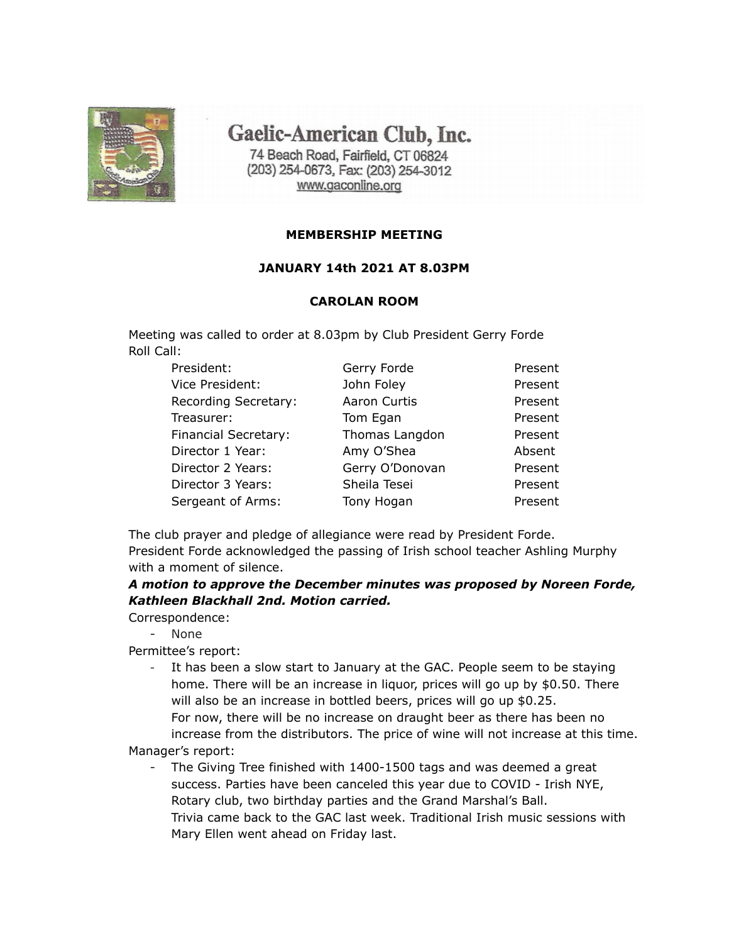

Gaelic-American Club, Inc.

74 Beach Road, Fairfield, CT 06824 (203) 254-0673, Fax: (203) 254-3012 www.gaconline.org

### **MEMBERSHIP MEETING**

### **JANUARY 14th 2021 AT 8.03PM**

### **CAROLAN ROOM**

Meeting was called to order at 8.03pm by Club President Gerry Forde Roll Call:

| President:           | Gerry Forde     | Present |
|----------------------|-----------------|---------|
| Vice President:      | John Foley      | Present |
| Recording Secretary: | Aaron Curtis    | Present |
| Treasurer:           | Tom Egan        | Present |
| Financial Secretary: | Thomas Langdon  | Present |
| Director 1 Year:     | Amy O'Shea      | Absent  |
| Director 2 Years:    | Gerry O'Donovan | Present |
| Director 3 Years:    | Sheila Tesei    | Present |
| Sergeant of Arms:    | Tony Hogan      | Present |

The club prayer and pledge of allegiance were read by President Forde. President Forde acknowledged the passing of Irish school teacher Ashling Murphy with a moment of silence.

*A motion to approve the December minutes was proposed by Noreen Forde, Kathleen Blackhall 2nd. Motion carried.*

Correspondence:

- None

Permittee's report:

It has been a slow start to January at the GAC. People seem to be staying home. There will be an increase in liquor, prices will go up by \$0.50. There will also be an increase in bottled beers, prices will go up \$0.25. For now, there will be no increase on draught beer as there has been no increase from the distributors. The price of wine will not increase at this time.

Manager's report:

The Giving Tree finished with 1400-1500 tags and was deemed a great success. Parties have been canceled this year due to COVID - Irish NYE, Rotary club, two birthday parties and the Grand Marshal's Ball. Trivia came back to the GAC last week. Traditional Irish music sessions with Mary Ellen went ahead on Friday last.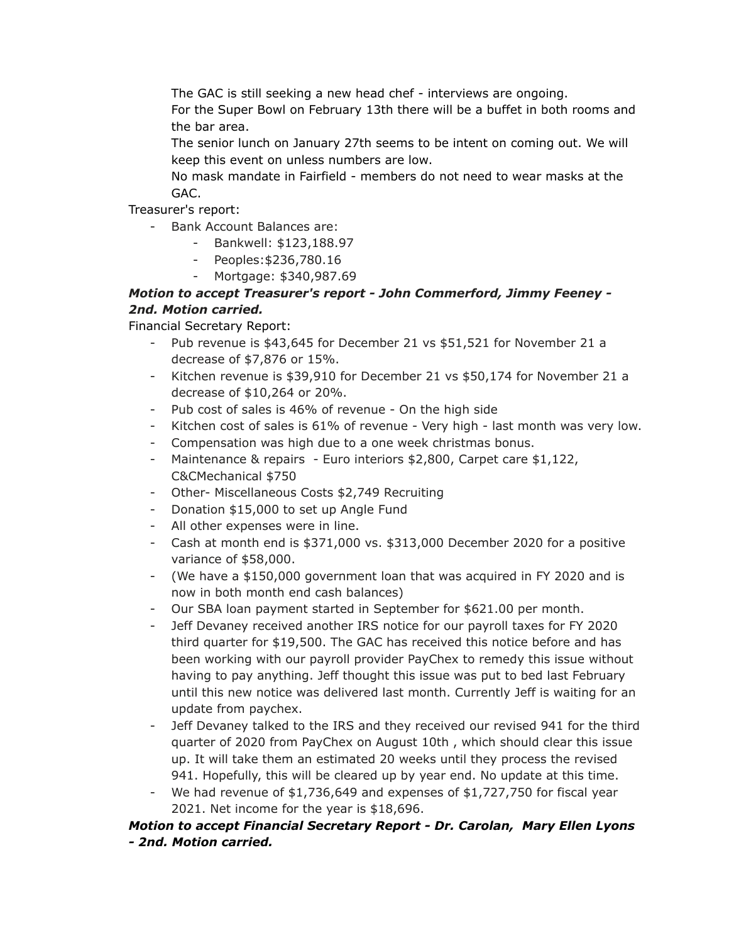The GAC is still seeking a new head chef - interviews are ongoing.

For the Super Bowl on February 13th there will be a buffet in both rooms and the bar area.

The senior lunch on January 27th seems to be intent on coming out. We will keep this event on unless numbers are low.

No mask mandate in Fairfield - members do not need to wear masks at the GAC.

Treasurer's report:

- Bank Account Balances are:
	- Bankwell: \$123,188.97
	- Peoples:\$236,780.16
	- Mortgage: \$340,987.69

# *Motion to accept Treasurer's report - John Commerford, Jimmy Feeney - 2nd. Motion carried.*

Financial Secretary Report:

- Pub revenue is \$43,645 for December 21 vs \$51,521 for November 21 a decrease of \$7,876 or 15%.
- Kitchen revenue is \$39,910 for December 21 vs \$50,174 for November 21 a decrease of \$10,264 or 20%.
- Pub cost of sales is 46% of revenue On the high side
- Kitchen cost of sales is 61% of revenue Very high last month was very low.
- Compensation was high due to a one week christmas bonus.
- Maintenance & repairs Euro interiors \$2,800, Carpet care \$1,122, C&CMechanical \$750
- Other- Miscellaneous Costs \$2,749 Recruiting
- Donation \$15,000 to set up Angle Fund
- All other expenses were in line.
- Cash at month end is \$371,000 vs. \$313,000 December 2020 for a positive variance of \$58,000.
- (We have a \$150,000 government loan that was acquired in FY 2020 and is now in both month end cash balances)
- Our SBA loan payment started in September for \$621.00 per month.
- Jeff Devaney received another IRS notice for our payroll taxes for FY 2020 third quarter for \$19,500. The GAC has received this notice before and has been working with our payroll provider PayChex to remedy this issue without having to pay anything. Jeff thought this issue was put to bed last February until this new notice was delivered last month. Currently Jeff is waiting for an update from paychex.
- Jeff Devaney talked to the IRS and they received our revised 941 for the third quarter of 2020 from PayChex on August 10th , which should clear this issue up. It will take them an estimated 20 weeks until they process the revised 941. Hopefully, this will be cleared up by year end. No update at this time.
- We had revenue of \$1,736,649 and expenses of \$1,727,750 for fiscal year 2021. Net income for the year is \$18,696.

## *Motion to accept Financial Secretary Report - Dr. Carolan, Mary Ellen Lyons - 2nd. Motion carried.*